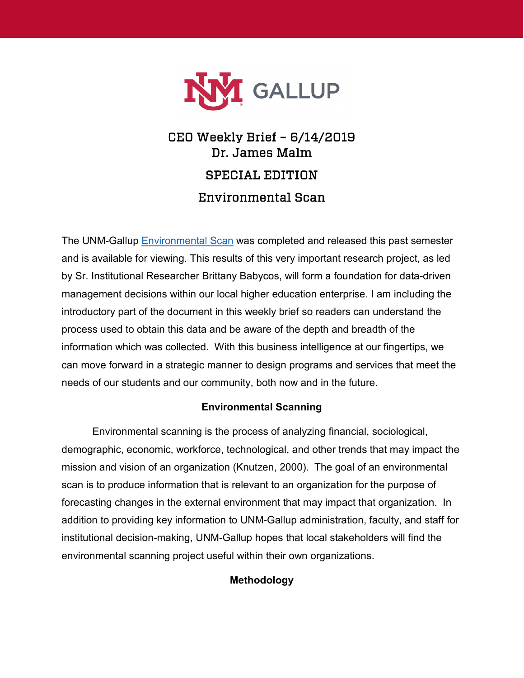

# CEO Weekly Brief – 6/14/2019 Dr. James Malm SPECIAL EDITION Environmental Scan

The UNM-Gallup [Environmental Scan](https://gallup.unm.edu/ir/) was completed and released this past semester and is available for viewing. This results of this very important research project, as led by Sr. Institutional Researcher Brittany Babycos, will form a foundation for data-driven management decisions within our local higher education enterprise. I am including the introductory part of the document in this weekly brief so readers can understand the process used to obtain this data and be aware of the depth and breadth of the information which was collected. With this business intelligence at our fingertips, we can move forward in a strategic manner to design programs and services that meet the needs of our students and our community, both now and in the future.

# **Environmental Scanning**

Environmental scanning is the process of analyzing financial, sociological, demographic, economic, workforce, technological, and other trends that may impact the mission and vision of an organization (Knutzen, 2000). The goal of an environmental scan is to produce information that is relevant to an organization for the purpose of forecasting changes in the external environment that may impact that organization. In addition to providing key information to UNM-Gallup administration, faculty, and staff for institutional decision-making, UNM-Gallup hopes that local stakeholders will find the environmental scanning project useful within their own organizations.

# **Methodology**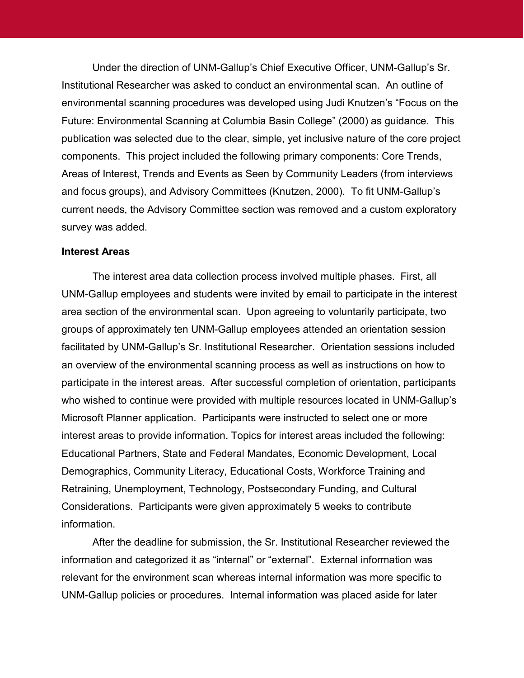Under the direction of UNM-Gallup's Chief Executive Officer, UNM-Gallup's Sr. Institutional Researcher was asked to conduct an environmental scan. An outline of environmental scanning procedures was developed using Judi Knutzen's "Focus on the Future: Environmental Scanning at Columbia Basin College" (2000) as guidance. This publication was selected due to the clear, simple, yet inclusive nature of the core project components. This project included the following primary components: Core Trends, Areas of Interest, Trends and Events as Seen by Community Leaders (from interviews and focus groups), and Advisory Committees (Knutzen, 2000). To fit UNM-Gallup's current needs, the Advisory Committee section was removed and a custom exploratory survey was added.

## **Interest Areas**

The interest area data collection process involved multiple phases. First, all UNM-Gallup employees and students were invited by email to participate in the interest area section of the environmental scan. Upon agreeing to voluntarily participate, two groups of approximately ten UNM-Gallup employees attended an orientation session facilitated by UNM-Gallup's Sr. Institutional Researcher. Orientation sessions included an overview of the environmental scanning process as well as instructions on how to participate in the interest areas. After successful completion of orientation, participants who wished to continue were provided with multiple resources located in UNM-Gallup's Microsoft Planner application. Participants were instructed to select one or more interest areas to provide information. Topics for interest areas included the following: Educational Partners, State and Federal Mandates, Economic Development, Local Demographics, Community Literacy, Educational Costs, Workforce Training and Retraining, Unemployment, Technology, Postsecondary Funding, and Cultural Considerations. Participants were given approximately 5 weeks to contribute information.

After the deadline for submission, the Sr. Institutional Researcher reviewed the information and categorized it as "internal" or "external". External information was relevant for the environment scan whereas internal information was more specific to UNM-Gallup policies or procedures. Internal information was placed aside for later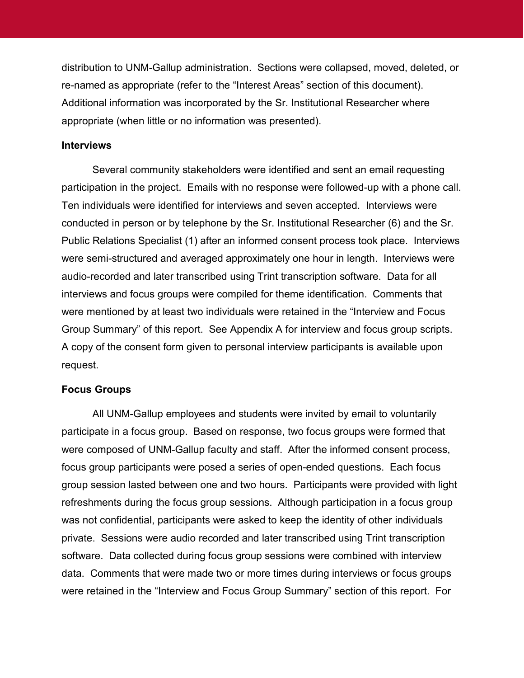distribution to UNM-Gallup administration. Sections were collapsed, moved, deleted, or re-named as appropriate (refer to the "Interest Areas" section of this document). Additional information was incorporated by the Sr. Institutional Researcher where appropriate (when little or no information was presented).

#### **Interviews**

Several community stakeholders were identified and sent an email requesting participation in the project. Emails with no response were followed-up with a phone call. Ten individuals were identified for interviews and seven accepted. Interviews were conducted in person or by telephone by the Sr. Institutional Researcher (6) and the Sr. Public Relations Specialist (1) after an informed consent process took place. Interviews were semi-structured and averaged approximately one hour in length. Interviews were audio-recorded and later transcribed using Trint transcription software. Data for all interviews and focus groups were compiled for theme identification. Comments that were mentioned by at least two individuals were retained in the "Interview and Focus Group Summary" of this report. See Appendix A for interview and focus group scripts. A copy of the consent form given to personal interview participants is available upon request.

#### **Focus Groups**

All UNM-Gallup employees and students were invited by email to voluntarily participate in a focus group. Based on response, two focus groups were formed that were composed of UNM-Gallup faculty and staff. After the informed consent process, focus group participants were posed a series of open-ended questions. Each focus group session lasted between one and two hours. Participants were provided with light refreshments during the focus group sessions. Although participation in a focus group was not confidential, participants were asked to keep the identity of other individuals private. Sessions were audio recorded and later transcribed using Trint transcription software. Data collected during focus group sessions were combined with interview data. Comments that were made two or more times during interviews or focus groups were retained in the "Interview and Focus Group Summary" section of this report. For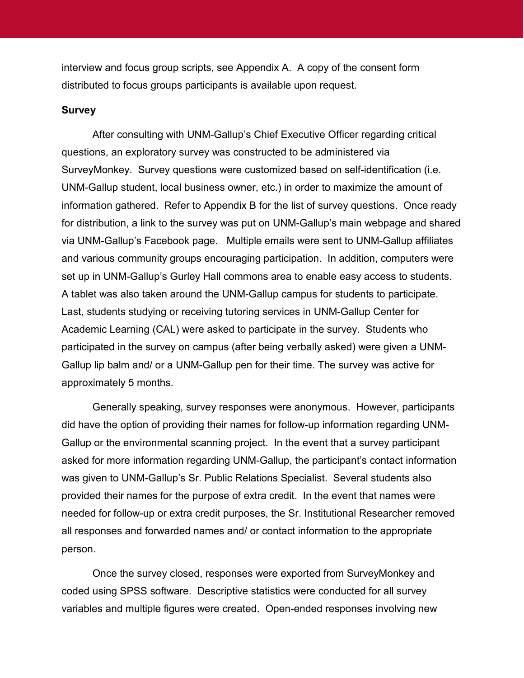interview and focus group scripts, see Appendix A. A copy of the consent form distributed to focus groups participants is available upon request.

### **Survey**

After consulting with UNM-Gallup's Chief Executive Officer regarding critical questions, an exploratory survey was constructed to be administered via SurveyMonkey. Survey questions were customized based on self-identification (i.e. UNM-Gallup student, local business owner, etc.) in order to maximize the amount of information gathered. Refer to Appendix B for the list of survey questions. Once ready for distribution, a link to the survey was put on UNM-Gallup's main webpage and shared via UNM-Gallup's Facebook page. Multiple emails were sent to UNM-Gallup affiliates and various community groups encouraging participation. In addition, computers were set up in UNM-Gallup's Gurley Hall commons area to enable easy access to students. A tablet was also taken around the UNM-Gallup campus for students to participate. Last, students studying or receiving tutoring services in UNM-Gallup Center for Academic Learning (CAL) were asked to participate in the survey. Students who participated in the survey on campus (after being verbally asked) were given a UNM-Gallup lip balm and/ or a UNM-Gallup pen for their time. The survey was active for approximately 5 months.

Generally speaking, survey responses were anonymous. However, participants did have the option of providing their names for follow-up information regarding UNM-Gallup or the environmental scanning project. In the event that a survey participant asked for more information regarding UNM-Gallup, the participant's contact information was given to UNM-Gallup's Sr. Public Relations Specialist. Several students also provided their names for the purpose of extra credit. In the event that names were needed for follow-up or extra credit purposes, the Sr. Institutional Researcher removed all responses and forwarded names and/ or contact information to the appropriate person.

Once the survey closed, responses were exported from SurveyMonkey and coded using SPSS software. Descriptive statistics were conducted for all survey variables and multiple figures were created. Open-ended responses involving new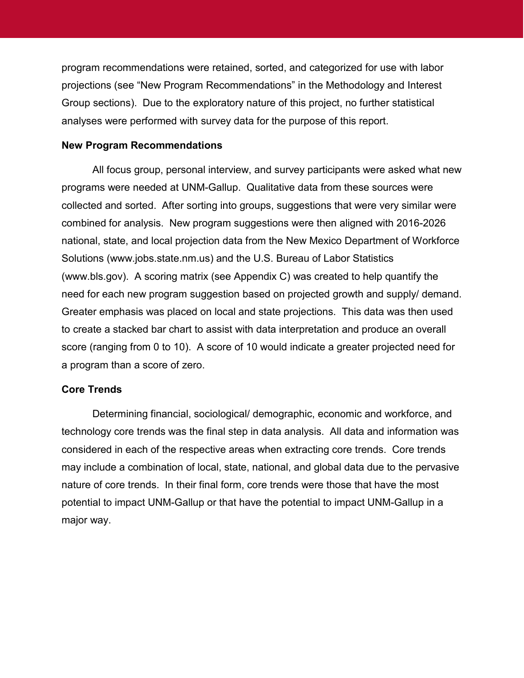program recommendations were retained, sorted, and categorized for use with labor projections (see "New Program Recommendations" in the Methodology and Interest Group sections). Due to the exploratory nature of this project, no further statistical analyses were performed with survey data for the purpose of this report.

#### **New Program Recommendations**

All focus group, personal interview, and survey participants were asked what new programs were needed at UNM-Gallup. Qualitative data from these sources were collected and sorted. After sorting into groups, suggestions that were very similar were combined for analysis. New program suggestions were then aligned with 2016-2026 national, state, and local projection data from the New Mexico Department of Workforce Solutions (www.jobs.state.nm.us) and the U.S. Bureau of Labor Statistics (www.bls.gov). A scoring matrix (see Appendix C) was created to help quantify the need for each new program suggestion based on projected growth and supply/ demand. Greater emphasis was placed on local and state projections. This data was then used to create a stacked bar chart to assist with data interpretation and produce an overall score (ranging from 0 to 10). A score of 10 would indicate a greater projected need for a program than a score of zero.

## **Core Trends**

Determining financial, sociological/ demographic, economic and workforce, and technology core trends was the final step in data analysis. All data and information was considered in each of the respective areas when extracting core trends. Core trends may include a combination of local, state, national, and global data due to the pervasive nature of core trends. In their final form, core trends were those that have the most potential to impact UNM-Gallup or that have the potential to impact UNM-Gallup in a major way.